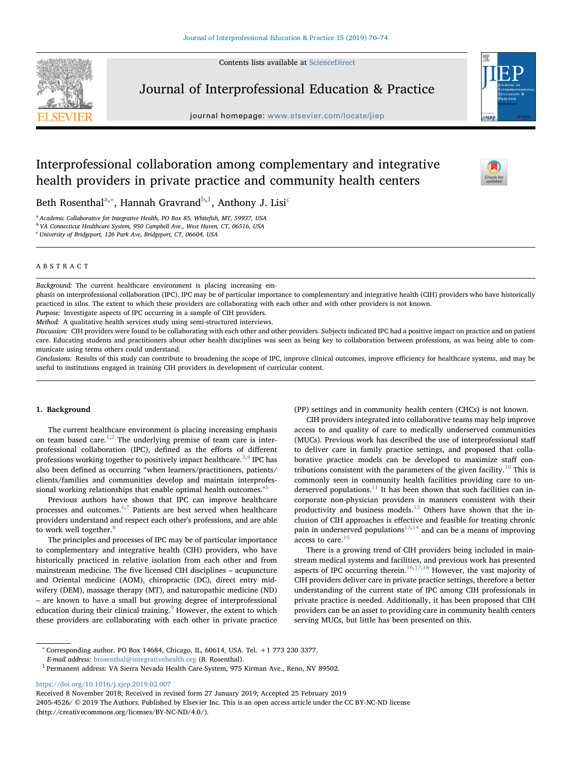Contents lists available at [ScienceDirect](http://www.sciencedirect.com/science/journal/24054526)



Journal of Interprofessional Education & Practice

journal homepage: [www.elsevier.com/locate/jiep](https://www.elsevier.com/locate/jiep)



 $\sum_{\text{the}}$ 

# Interprofessional collaboration among complementary and integrative health providers in private practice and community health centers

Beth Rosenth[a](#page-0-0)l<sup>a,[∗](#page-0-1)</sup>, Hannah Gravrand<sup>[b,](#page-0-2)[1](#page-0-3)</sup>, Anthony J. Lisi<sup>[c](#page-0-4)</sup>

<span id="page-0-0"></span><sup>a</sup> Academic Collaborative for Integrative Health, PO Box 85, Whitefish, MT, 59937, USA

<span id="page-0-2"></span><sup>b</sup> VA Connecticut Healthcare System, 950 Campbell Ave., West Haven, CT, 06516, USA

<span id="page-0-4"></span><sup>c</sup> University of Bridgeport, 126 Park Ave, Bridgeport, CT, 06604, USA

# ABSTRACT

Background: The current healthcare environment is placing increasing em-

phasis on interprofessional collaboration (IPC). IPC may be of particular importance to complementary and integrative health (CIH) providers who have historically practiced in silos. The extent to which these providers are collaborating with each other and with other providers is not known.

Purpose: Investigate aspects of IPC occurring in a sample of CIH providers.

Method: A qualitative health services study using semi-structured interviews.

Discussion: CIH providers were found to be collaborating with each other and other providers. Subjects indicated IPC had a positive impact on practice and on patient care. Educating students and practitioners about other health disciplines was seen as being key to collaboration between professions, as was being able to communicate using terms others could understand.

Conclusions: Results of this study can contribute to broadening the scope of IPC, improve clinical outcomes, improve efficiency for healthcare systems, and may be useful to institutions engaged in training CIH providers in development of curricular content.

## 1. Background

The current healthcare environment is placing increasing emphasis on team based care.<sup>[1](#page-3-0),[2](#page-3-1)</sup> The underlying premise of team care is interprofessional collaboration (IPC), defined as the efforts of different professions working together to positively impact healthcare.<sup>[3,](#page-3-2)[4](#page-3-3)</sup> IPC has also been defined as occurring "when learners/practitioners, patients/ clients/families and communities develop and maintain interprofessional working relationships that enable optimal health outcomes."[5](#page-4-0)

Previous authors have shown that IPC can improve healthcare processes and outcomes.[6](#page-4-1)[,7](#page-4-2) Patients are best served when healthcare providers understand and respect each other's professions, and are able to work well together.<sup>[8](#page-4-3)</sup>

The principles and processes of IPC may be of particular importance to complementary and integrative health (CIH) providers, who have historically practiced in relative isolation from each other and from mainstream medicine. The five licensed CIH disciplines – acupuncture and Oriental medicine (AOM), chiropractic (DC), direct entry midwifery (DEM), massage therapy (MT), and naturopathic medicine (ND) – are known to have a small but growing degree of interprofessional education during their clinical training.<sup>[9](#page-4-4)</sup> However, the extent to which these providers are collaborating with each other in private practice (PP) settings and in community health centers (CHCs) is not known.

CIH providers integrated into collaborative teams may help improve access to and quality of care to medically underserved communities (MUCs). Previous work has described the use of interprofessional staff to deliver care in family practice settings, and proposed that collaborative practice models can be developed to maximize staff con-tributions consistent with the parameters of the given facility.<sup>[10](#page-4-5)</sup> This is commonly seen in community health facilities providing care to un-derserved populations.<sup>[11](#page-4-6)</sup> It has been shown that such facilities can incorporate non-physician providers in manners consistent with their productivity and business models.<sup>[12](#page-4-7)</sup> Others have shown that the inclusion of CIH approaches is effective and feasible for treating chronic pain in underserved populations<sup>[13](#page-4-8),[14](#page-4-9)</sup> and can be a means of improving access to care.<sup>[15](#page-4-10)</sup>

There is a growing trend of CIH providers being included in mainstream medical systems and facilities, and previous work has presented aspects of IPC occurring therein.<sup>[16](#page-4-11),[17](#page-4-12)[,18](#page-4-13)</sup> However, the vast majority of CIH providers deliver care in private practice settings, therefore a better understanding of the current state of IPC among CIH professionals in private practice is needed. Additionally, it has been proposed that CIH providers can be an asset to providing care in community health centers serving MUCs, but little has been presented on this.

<https://doi.org/10.1016/j.xjep.2019.02.007>

Received 8 November 2018; Received in revised form 27 January 2019; Accepted 25 February 2019 2405-4526/ © 2019 The Authors. Published by Elsevier Inc. This is an open access article under the CC BY-NC-ND license (http://creativecommons.org/licenses/BY-NC-ND/4.0/).

<span id="page-0-1"></span><sup>∗</sup> Corresponding author. PO Box 14684, Chicago, IL, 60614, USA. Tel. +1 773 230 3377.

E-mail address: [brosenthal@integrativehealth.org](mailto:brosenthal@integrativehealth.org) (B. Rosenthal).

<span id="page-0-3"></span> $^{\rm 1}$  Permanent address: VA Sierra Nevada Health Care System, 975 Kirman Ave., Reno, NV 89502.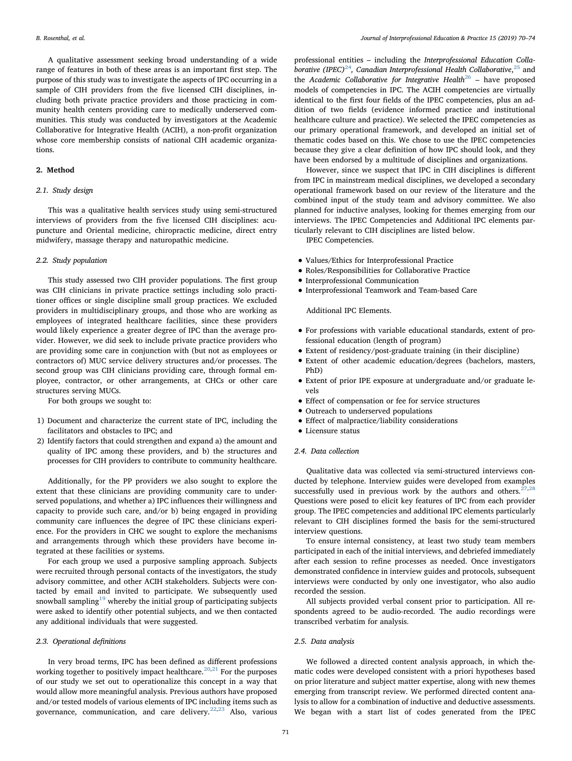A qualitative assessment seeking broad understanding of a wide range of features in both of these areas is an important first step. The purpose of this study was to investigate the aspects of IPC occurring in a sample of CIH providers from the five licensed CIH disciplines, including both private practice providers and those practicing in community health centers providing care to medically underserved communities. This study was conducted by investigators at the Academic Collaborative for Integrative Health (ACIH), a non-profit organization whose core membership consists of national CIH academic organizations.

## 2. Method

# 2.1. Study design

This was a qualitative health services study using semi-structured interviews of providers from the five licensed CIH disciplines: acupuncture and Oriental medicine, chiropractic medicine, direct entry midwifery, massage therapy and naturopathic medicine.

#### 2.2. Study population

This study assessed two CIH provider populations. The first group was CIH clinicians in private practice settings including solo practitioner offices or single discipline small group practices. We excluded providers in multidisciplinary groups, and those who are working as employees of integrated healthcare facilities, since these providers would likely experience a greater degree of IPC than the average provider. However, we did seek to include private practice providers who are providing some care in conjunction with (but not as employees or contractors of) MUC service delivery structures and/or processes. The second group was CIH clinicians providing care, through formal employee, contractor, or other arrangements, at CHCs or other care structures serving MUCs.

For both groups we sought to:

- 1) Document and characterize the current state of IPC, including the facilitators and obstacles to IPC; and
- 2) Identify factors that could strengthen and expand a) the amount and quality of IPC among these providers, and b) the structures and processes for CIH providers to contribute to community healthcare.

Additionally, for the PP providers we also sought to explore the extent that these clinicians are providing community care to underserved populations, and whether a) IPC influences their willingness and capacity to provide such care, and/or b) being engaged in providing community care influences the degree of IPC these clinicians experience. For the providers in CHC we sought to explore the mechanisms and arrangements through which these providers have become integrated at these facilities or systems.

For each group we used a purposive sampling approach. Subjects were recruited through personal contacts of the investigators, the study advisory committee, and other ACIH stakeholders. Subjects were contacted by email and invited to participate. We subsequently used snowball sampling $19$  whereby the initial group of participating subjects were asked to identify other potential subjects, and we then contacted any additional individuals that were suggested.

## 2.3. Operational definitions

In very broad terms, IPC has been defined as different professions working together to positively impact healthcare.  $20,21$  $20,21$  $20,21$  For the purposes of our study we set out to operationalize this concept in a way that would allow more meaningful analysis. Previous authors have proposed and/or tested models of various elements of IPC including items such as governance, communication, and care delivery.[22,](#page-4-17)[23](#page-4-18) Also, various

professional entities – including the Interprofessional Education Colla-borative (IPEC)<sup>[24](#page-4-19)</sup>, Canadian Interprofessional Health Collaborative,<sup>[25](#page-4-20)</sup> and the Academic Collaborative for Integrative Health<sup>[26](#page-4-21)</sup> – have proposed models of competencies in IPC. The ACIH competencies are virtually identical to the first four fields of the IPEC competencies, plus an addition of two fields (evidence informed practice and institutional healthcare culture and practice). We selected the IPEC competencies as our primary operational framework, and developed an initial set of thematic codes based on this. We chose to use the IPEC competencies because they give a clear definition of how IPC should look, and they have been endorsed by a multitude of disciplines and organizations.

However, since we suspect that IPC in CIH disciplines is different from IPC in mainstream medical disciplines, we developed a secondary operational framework based on our review of the literature and the combined input of the study team and advisory committee. We also planned for inductive analyses, looking for themes emerging from our interviews. The IPEC Competencies and Additional IPC elements particularly relevant to CIH disciplines are listed below.

IPEC Competencies.

- Values/Ethics for Interprofessional Practice
- Roles/Responsibilities for Collaborative Practice
- Interprofessional Communication
- Interprofessional Teamwork and Team-based Care

Additional IPC Elements.

- For professions with variable educational standards, extent of professional education (length of program)
- Extent of residency/post-graduate training (in their discipline)
- Extent of other academic education/degrees (bachelors, masters, PhD)
- Extent of prior IPE exposure at undergraduate and/or graduate levels
- <sup>E</sup>ffect of compensation or fee for service structures
- Outreach to underserved populations
- <sup>E</sup>ffect of malpractice/liability considerations
- Licensure status
- 2.4. Data collection

Qualitative data was collected via semi-structured interviews conducted by telephone. Interview guides were developed from examples successfully used in previous work by the authors and others.<sup>[27](#page-4-22),[28](#page-4-23)</sup> Questions were posed to elicit key features of IPC from each provider group. The IPEC competencies and additional IPC elements particularly relevant to CIH disciplines formed the basis for the semi-structured interview questions.

To ensure internal consistency, at least two study team members participated in each of the initial interviews, and debriefed immediately after each session to refine processes as needed. Once investigators demonstrated confidence in interview guides and protocols, subsequent interviews were conducted by only one investigator, who also audio recorded the session.

All subjects provided verbal consent prior to participation. All respondents agreed to be audio-recorded. The audio recordings were transcribed verbatim for analysis.

## 2.5. Data analysis

We followed a directed content analysis approach, in which thematic codes were developed consistent with a priori hypotheses based on prior literature and subject matter expertise, along with new themes emerging from transcript review. We performed directed content analysis to allow for a combination of inductive and deductive assessments. We began with a start list of codes generated from the IPEC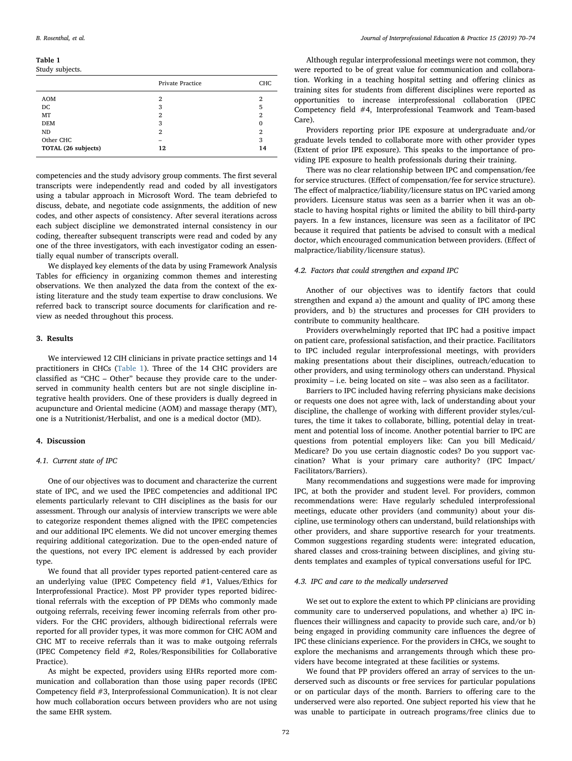<span id="page-2-0"></span>Table 1

| Study subjects.     |                  |     |
|---------------------|------------------|-----|
|                     | Private Practice | CHC |
| <b>AOM</b>          | 2                | 2   |
| DC                  | 3                | 5   |
| MT                  | 2                | 2   |
| <b>DEM</b>          | 3                | 0   |
| ND                  | 2                | 2   |
| Other CHC           |                  | 3   |
| TOTAL (26 subjects) | 12               | 14  |
|                     |                  |     |

competencies and the study advisory group comments. The first several transcripts were independently read and coded by all investigators using a tabular approach in Microsoft Word. The team debriefed to discuss, debate, and negotiate code assignments, the addition of new codes, and other aspects of consistency. After several iterations across each subject discipline we demonstrated internal consistency in our coding, thereafter subsequent transcripts were read and coded by any one of the three investigators, with each investigator coding an essentially equal number of transcripts overall.

We displayed key elements of the data by using Framework Analysis Tables for efficiency in organizing common themes and interesting observations. We then analyzed the data from the context of the existing literature and the study team expertise to draw conclusions. We referred back to transcript source documents for clarification and review as needed throughout this process.

## 3. Results

We interviewed 12 CIH clinicians in private practice settings and 14 practitioners in CHCs [\(Table 1](#page-2-0)). Three of the 14 CHC providers are classified as "CHC – Other" because they provide care to the underserved in community health centers but are not single discipline integrative health providers. One of these providers is dually degreed in acupuncture and Oriental medicine (AOM) and massage therapy (MT), one is a Nutritionist/Herbalist, and one is a medical doctor (MD).

## 4. Discussion

#### 4.1. Current state of IPC

One of our objectives was to document and characterize the current state of IPC, and we used the IPEC competencies and additional IPC elements particularly relevant to CIH disciplines as the basis for our assessment. Through our analysis of interview transcripts we were able to categorize respondent themes aligned with the IPEC competencies and our additional IPC elements. We did not uncover emerging themes requiring additional categorization. Due to the open-ended nature of the questions, not every IPC element is addressed by each provider type.

We found that all provider types reported patient-centered care as an underlying value (IPEC Competency field #1, Values/Ethics for Interprofessional Practice). Most PP provider types reported bidirectional referrals with the exception of PP DEMs who commonly made outgoing referrals, receiving fewer incoming referrals from other providers. For the CHC providers, although bidirectional referrals were reported for all provider types, it was more common for CHC AOM and CHC MT to receive referrals than it was to make outgoing referrals (IPEC Competency field #2, Roles/Responsibilities for Collaborative Practice).

As might be expected, providers using EHRs reported more communication and collaboration than those using paper records (IPEC Competency field #3, Interprofessional Communication). It is not clear how much collaboration occurs between providers who are not using the same EHR system.

Although regular interprofessional meetings were not common, they were reported to be of great value for communication and collaboration. Working in a teaching hospital setting and offering clinics as training sites for students from different disciplines were reported as opportunities to increase interprofessional collaboration (IPEC Competency field #4, Interprofessional Teamwork and Team-based Care).

Providers reporting prior IPE exposure at undergraduate and/or graduate levels tended to collaborate more with other provider types (Extent of prior IPE exposure). This speaks to the importance of providing IPE exposure to health professionals during their training.

There was no clear relationship between IPC and compensation/fee for service structures. (Effect of compensation/fee for service structure). The effect of malpractice/liability/licensure status on IPC varied among providers. Licensure status was seen as a barrier when it was an obstacle to having hospital rights or limited the ability to bill third-party payers. In a few instances, licensure was seen as a facilitator of IPC because it required that patients be advised to consult with a medical doctor, which encouraged communication between providers. (Effect of malpractice/liability/licensure status).

## 4.2. Factors that could strengthen and expand IPC

Another of our objectives was to identify factors that could strengthen and expand a) the amount and quality of IPC among these providers, and b) the structures and processes for CIH providers to contribute to community healthcare.

Providers overwhelmingly reported that IPC had a positive impact on patient care, professional satisfaction, and their practice. Facilitators to IPC included regular interprofessional meetings, with providers making presentations about their disciplines, outreach/education to other providers, and using terminology others can understand. Physical proximity – i.e. being located on site – was also seen as a facilitator.

Barriers to IPC included having referring physicians make decisions or requests one does not agree with, lack of understanding about your discipline, the challenge of working with different provider styles/cultures, the time it takes to collaborate, billing, potential delay in treatment and potential loss of income. Another potential barrier to IPC are questions from potential employers like: Can you bill Medicaid/ Medicare? Do you use certain diagnostic codes? Do you support vaccination? What is your primary care authority? (IPC Impact/ Facilitators/Barriers).

Many recommendations and suggestions were made for improving IPC, at both the provider and student level. For providers, common recommendations were: Have regularly scheduled interprofessional meetings, educate other providers (and community) about your discipline, use terminology others can understand, build relationships with other providers, and share supportive research for your treatments. Common suggestions regarding students were: integrated education, shared classes and cross-training between disciplines, and giving students templates and examples of typical conversations useful for IPC.

# 4.3. IPC and care to the medically underserved

We set out to explore the extent to which PP clinicians are providing community care to underserved populations, and whether a) IPC influences their willingness and capacity to provide such care, and/or b) being engaged in providing community care influences the degree of IPC these clinicians experience. For the providers in CHCs, we sought to explore the mechanisms and arrangements through which these providers have become integrated at these facilities or systems.

We found that PP providers offered an array of services to the underserved such as discounts or free services for particular populations or on particular days of the month. Barriers to offering care to the underserved were also reported. One subject reported his view that he was unable to participate in outreach programs/free clinics due to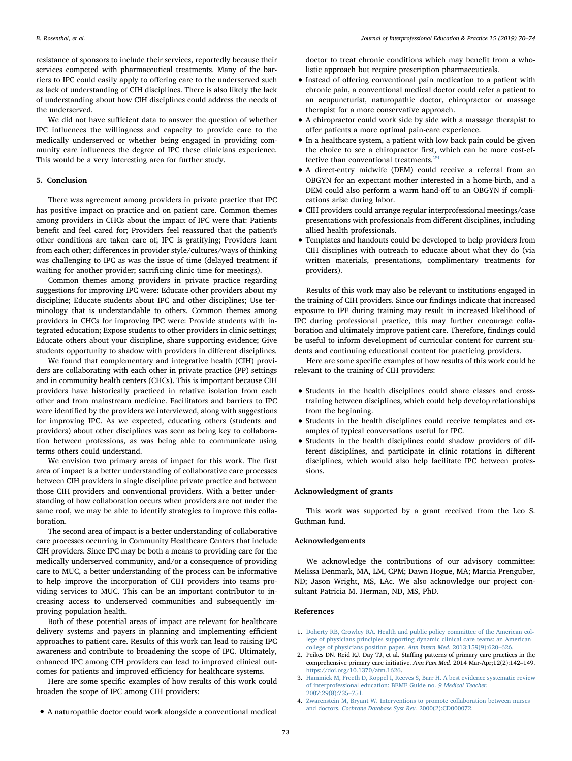resistance of sponsors to include their services, reportedly because their services competed with pharmaceutical treatments. Many of the barriers to IPC could easily apply to offering care to the underserved such as lack of understanding of CIH disciplines. There is also likely the lack of understanding about how CIH disciplines could address the needs of the underserved.

We did not have sufficient data to answer the question of whether IPC influences the willingness and capacity to provide care to the medically underserved or whether being engaged in providing community care influences the degree of IPC these clinicians experience. This would be a very interesting area for further study.

#### 5. Conclusion

There was agreement among providers in private practice that IPC has positive impact on practice and on patient care. Common themes among providers in CHCs about the impact of IPC were that: Patients benefit and feel cared for; Providers feel reassured that the patient's other conditions are taken care of; IPC is gratifying; Providers learn from each other; differences in provider style/cultures/ways of thinking was challenging to IPC as was the issue of time (delayed treatment if waiting for another provider; sacrificing clinic time for meetings).

Common themes among providers in private practice regarding suggestions for improving IPC were: Educate other providers about my discipline; Educate students about IPC and other disciplines; Use terminology that is understandable to others. Common themes among providers in CHCs for improving IPC were: Provide students with integrated education; Expose students to other providers in clinic settings; Educate others about your discipline, share supporting evidence; Give students opportunity to shadow with providers in different disciplines.

We found that complementary and integrative health (CIH) providers are collaborating with each other in private practice (PP) settings and in community health centers (CHCs). This is important because CIH providers have historically practiced in relative isolation from each other and from mainstream medicine. Facilitators and barriers to IPC were identified by the providers we interviewed, along with suggestions for improving IPC. As we expected, educating others (students and providers) about other disciplines was seen as being key to collaboration between professions, as was being able to communicate using terms others could understand.

We envision two primary areas of impact for this work. The first area of impact is a better understanding of collaborative care processes between CIH providers in single discipline private practice and between those CIH providers and conventional providers. With a better understanding of how collaboration occurs when providers are not under the same roof, we may be able to identify strategies to improve this collaboration.

The second area of impact is a better understanding of collaborative care processes occurring in Community Healthcare Centers that include CIH providers. Since IPC may be both a means to providing care for the medically underserved community, and/or a consequence of providing care to MUC, a better understanding of the process can be informative to help improve the incorporation of CIH providers into teams providing services to MUC. This can be an important contributor to increasing access to underserved communities and subsequently improving population health.

Both of these potential areas of impact are relevant for healthcare delivery systems and payers in planning and implementing efficient approaches to patient care. Results of this work can lead to raising IPC awareness and contribute to broadening the scope of IPC. Ultimately, enhanced IPC among CIH providers can lead to improved clinical outcomes for patients and improved efficiency for healthcare systems.

Here are some specific examples of how results of this work could broaden the scope of IPC among CIH providers:

• A naturopathic doctor could work alongside a conventional medical

doctor to treat chronic conditions which may benefit from a wholistic approach but require prescription pharmaceuticals.

- Instead of offering conventional pain medication to a patient with chronic pain, a conventional medical doctor could refer a patient to an acupuncturist, naturopathic doctor, chiropractor or massage therapist for a more conservative approach.
- A chiropractor could work side by side with a massage therapist to offer patients a more optimal pain-care experience.
- In a healthcare system, a patient with low back pain could be given the choice to see a chiropractor first, which can be more cost-effective than conventional treatments. $^{29}$  $^{29}$  $^{29}$
- A direct-entry midwife (DEM) could receive a referral from an OBGYN for an expectant mother interested in a home-birth, and a DEM could also perform a warm hand-off to an OBGYN if complications arise during labor.
- CIH providers could arrange regular interprofessional meetings/case presentations with professionals from different disciplines, including allied health professionals.
- Templates and handouts could be developed to help providers from CIH disciplines with outreach to educate about what they do (via written materials, presentations, complimentary treatments for providers).

Results of this work may also be relevant to institutions engaged in the training of CIH providers. Since our findings indicate that increased exposure to IPE during training may result in increased likelihood of IPC during professional practice, this may further encourage collaboration and ultimately improve patient care. Therefore, findings could be useful to inform development of curricular content for current students and continuing educational content for practicing providers.

Here are some specific examples of how results of this work could be relevant to the training of CIH providers:

- Students in the health disciplines could share classes and crosstraining between disciplines, which could help develop relationships from the beginning.
- Students in the health disciplines could receive templates and examples of typical conversations useful for IPC.
- Students in the health disciplines could shadow providers of different disciplines, and participate in clinic rotations in different disciplines, which would also help facilitate IPC between professions.

## Acknowledgment of grants

This work was supported by a grant received from the Leo S. Guthman fund.

#### Acknowledgements

We acknowledge the contributions of our advisory committee: Melissa Denmark, MA, LM, CPM; Dawn Hogue, MA; Marcia Prenguber, ND; Jason Wright, MS, LAc. We also acknowledge our project consultant Patricia M. Herman, ND, MS, PhD.

## References

- <span id="page-3-0"></span>1. [Doherty RB, Crowley RA. Health and public policy committee of the American col](http://refhub.elsevier.com/S2405-4526(18)30194-0/sref1)[lege of physicians principles supporting dynamic clinical care teams: an American](http://refhub.elsevier.com/S2405-4526(18)30194-0/sref1) [college of physicians position paper.](http://refhub.elsevier.com/S2405-4526(18)30194-0/sref1) Ann Intern Med. 2013;159(9):620–626.
- <span id="page-3-1"></span>2. Peikes DN, Reid RJ, Day TJ, et al. Staffing patterns of primary care practices in the comprehensive primary care initiative. Ann Fam Med. 2014 Mar-Apr;12(2):142–149. [https://doi.org/10.1370/afm.1626.](https://doi.org/10.1370/afm.1626)
- <span id="page-3-2"></span>3. [Hammick M, Freeth D, Koppel I, Reeves S, Barr H. A best evidence systematic review](http://refhub.elsevier.com/S2405-4526(18)30194-0/sref3) [of interprofessional education: BEME Guide no.](http://refhub.elsevier.com/S2405-4526(18)30194-0/sref3) 9 Medical Teacher. [2007;29\(8\):735](http://refhub.elsevier.com/S2405-4526(18)30194-0/sref3)–751.
- <span id="page-3-3"></span>4. [Zwarenstein M, Bryant W. Interventions to promote collaboration between nurses](http://refhub.elsevier.com/S2405-4526(18)30194-0/sref4) and doctors. [Cochrane Database Syst Rev.](http://refhub.elsevier.com/S2405-4526(18)30194-0/sref4) 2000(2):CD000072.